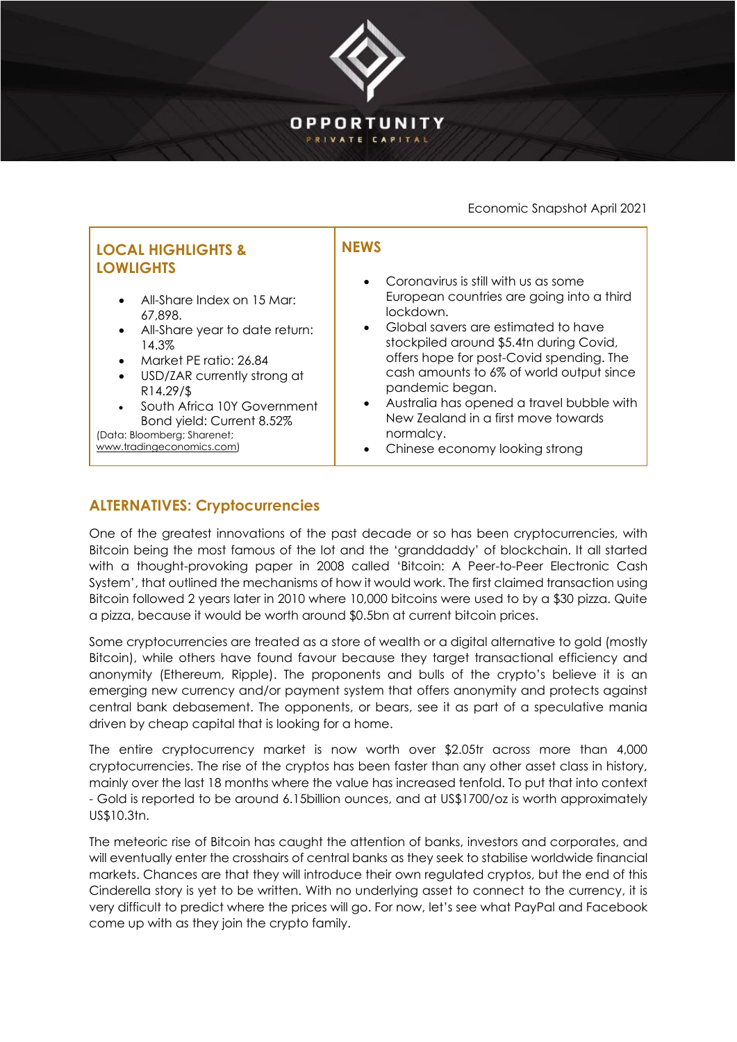

### Economic Snapshot April 2021

## **ALTERNATIVES: Cryptocurrencies**

One of the greatest innovations of the past decade or so has been cryptocurrencies, with Bitcoin being the most famous of the lot and the 'granddaddy' of blockchain. It all started with a thought-provoking paper in 2008 called 'Bitcoin: A Peer-to-Peer Electronic Cash System', that outlined the mechanisms of how it would work. The first claimed transaction using Bitcoin followed 2 years later in 2010 where 10,000 bitcoins were used to by a \$30 pizza. Quite a pizza, because it would be worth around \$0.5bn at current bitcoin prices.

Some cryptocurrencies are treated as a store of wealth or a digital alternative to gold (mostly Bitcoin), while others have found favour because they target transactional efficiency and anonymity (Ethereum, Ripple). The proponents and bulls of the crypto's believe it is an emerging new currency and/or payment system that offers anonymity and protects against central bank debasement. The opponents, or bears, see it as part of a speculative mania driven by cheap capital that is looking for a home.

The entire cryptocurrency market is now worth over \$2.05tr across more than 4,000 cryptocurrencies. The rise of the cryptos has been faster than any other asset class in history, mainly over the last 18 months where the value has increased tenfold. To put that into context - Gold is reported to be around 6.15billion ounces, and at US\$1700/oz is worth approximately US\$10.3tn.

The meteoric rise of Bitcoin has caught the attention of banks, investors and corporates, and will eventually enter the crosshairs of central banks as they seek to stabilise worldwide financial markets. Chances are that they will introduce their own regulated cryptos, but the end of this Cinderella story is yet to be written. With no underlying asset to connect to the currency, it is very difficult to predict where the prices will go. For now, let's see what PayPal and Facebook come up with as they join the crypto family.